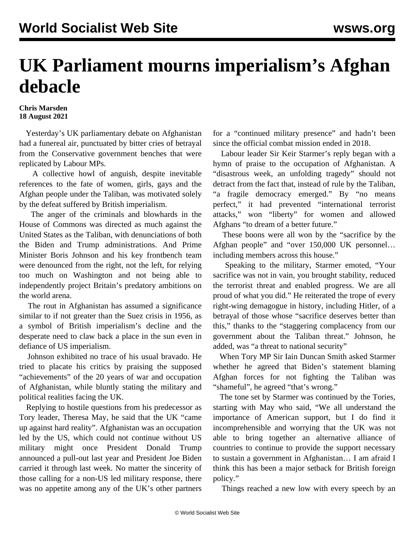## **UK Parliament mourns imperialism's Afghan debacle**

## **Chris Marsden 18 August 2021**

 Yesterday's UK parliamentary debate on Afghanistan had a funereal air, punctuated by bitter cries of betrayal from the Conservative government benches that were replicated by Labour MPs.

 A collective howl of anguish, despite inevitable references to the fate of women, girls, gays and the Afghan people under the Taliban, was motivated solely by the defeat suffered by British imperialism.

 The anger of the criminals and blowhards in the House of Commons was directed as much against the United States as the Taliban, with denunciations of both the Biden and Trump administrations. And Prime Minister Boris Johnson and his key frontbench team were denounced from the right, not the left, for relying too much on Washington and not being able to independently project Britain's predatory ambitions on the world arena.

 The rout in Afghanistan has assumed a significance similar to if not greater than the Suez crisis in 1956, as a symbol of British imperialism's decline and the desperate need to claw back a place in the sun even in defiance of US imperialism.

 Johnson exhibited no trace of his usual bravado. He tried to placate his critics by praising the supposed "achievements" of the 20 years of war and occupation of Afghanistan, while bluntly stating the military and political realities facing the UK.

 Replying to hostile questions from his predecessor as Tory leader, Theresa May, he said that the UK "came up against hard reality". Afghanistan was an occupation led by the US, which could not continue without US military might once President Donald Trump announced a pull-out last year and President Joe Biden carried it through last week. No matter the sincerity of those calling for a non-US led military response, there was no appetite among any of the UK's other partners

for a "continued military presence" and hadn't been since the official combat mission ended in 2018.

 Labour leader Sir Keir Starmer's reply began with a hymn of praise to the occupation of Afghanistan. A "disastrous week, an unfolding tragedy" should not detract from the fact that, instead of rule by the Taliban, "a fragile democracy emerged." By "no means perfect," it had prevented "international terrorist attacks," won "liberty" for women and allowed Afghans "to dream of a better future."

 These boons were all won by the "sacrifice by the Afghan people" and "over 150,000 UK personnel… including members across this house."

 Speaking to the military, Starmer emoted, "Your sacrifice was not in vain, you brought stability, reduced the terrorist threat and enabled progress. We are all proud of what you did." He reiterated the trope of every right-wing demagogue in history, including Hitler, of a betrayal of those whose "sacrifice deserves better than this," thanks to the "staggering complacency from our government about the Taliban threat." Johnson, he added, was "a threat to national security"

 When Tory MP Sir Iain Duncan Smith asked Starmer whether he agreed that Biden's statement blaming Afghan forces for not fighting the Taliban was "shameful", he agreed "that's wrong."

 The tone set by Starmer was continued by the Tories, starting with May who said, "We all understand the importance of American support, but I do find it incomprehensible and worrying that the UK was not able to bring together an alternative alliance of countries to continue to provide the support necessary to sustain a government in Afghanistan… I am afraid I think this has been a major setback for British foreign policy."

Things reached a new low with every speech by an